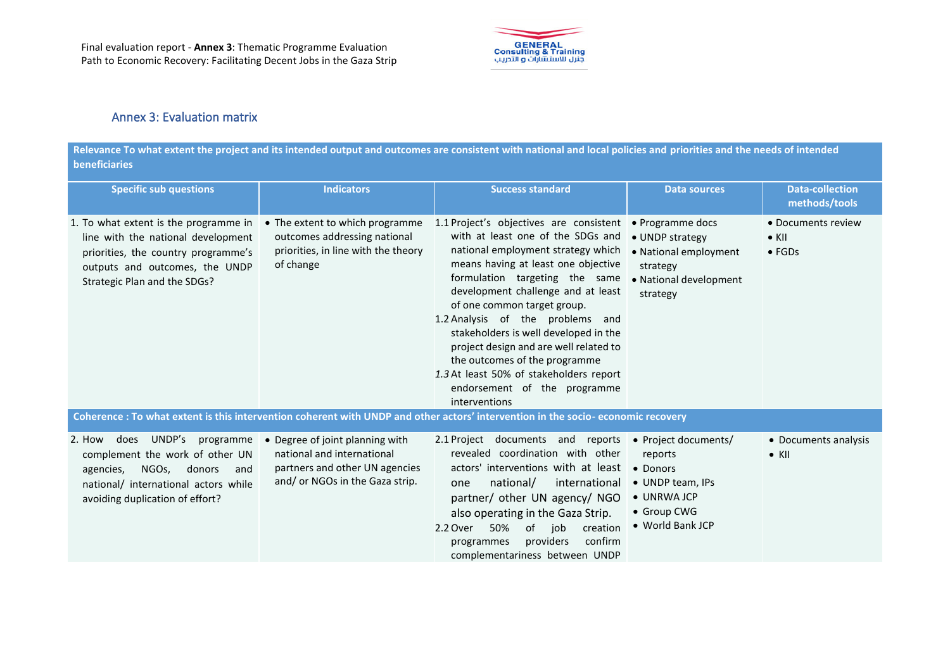

## Annex 3: Evaluation matrix

**Relevance To what extent the project and its intended output and outcomes are consistent with national and local policies and priorities and the needs of intended beneficiaries**

| <b>Specific sub questions</b>                                                                                                                                                              | <b>Indicators</b>                                                                                                                  | <b>Success standard</b>                                                                                                                                                                                                                                                                                                                                                                                                                                                                                              | <b>Data sources</b>                                                                                               | <b>Data-collection</b><br>methods/tools               |
|--------------------------------------------------------------------------------------------------------------------------------------------------------------------------------------------|------------------------------------------------------------------------------------------------------------------------------------|----------------------------------------------------------------------------------------------------------------------------------------------------------------------------------------------------------------------------------------------------------------------------------------------------------------------------------------------------------------------------------------------------------------------------------------------------------------------------------------------------------------------|-------------------------------------------------------------------------------------------------------------------|-------------------------------------------------------|
| 1. To what extent is the programme in<br>line with the national development<br>priorities, the country programme's<br>outputs and outcomes, the UNDP<br>Strategic Plan and the SDGs?       | • The extent to which programme<br>outcomes addressing national<br>priorities, in line with the theory<br>of change                | 1.1 Project's objectives are consistent<br>with at least one of the SDGs and<br>national employment strategy which<br>means having at least one objective<br>formulation targeting the same<br>development challenge and at least<br>of one common target group.<br>1.2 Analysis of the problems and<br>stakeholders is well developed in the<br>project design and are well related to<br>the outcomes of the programme<br>1.3 At least 50% of stakeholders report<br>endorsement of the programme<br>interventions | • Programme docs<br>• UNDP strategy<br>• National employment<br>strategy<br>• National development<br>strategy    | • Documents review<br>$\bullet$ KII<br>$\bullet$ FGDs |
|                                                                                                                                                                                            |                                                                                                                                    | Coherence : To what extent is this intervention coherent with UNDP and other actors' intervention in the socio-economic recovery                                                                                                                                                                                                                                                                                                                                                                                     |                                                                                                                   |                                                       |
| UNDP's<br>programme<br>2. How<br>does<br>complement the work of other UN<br>NGOs,<br>donors<br>agencies,<br>and<br>national/ international actors while<br>avoiding duplication of effort? | • Degree of joint planning with<br>national and international<br>partners and other UN agencies<br>and/ or NGOs in the Gaza strip. | documents and reports<br>2.1 Project<br>revealed coordination with other<br>actors' interventions with at least<br>national/<br>international<br>one<br>partner/ other UN agency/ NGO<br>also operating in the Gaza Strip.<br>50%<br>2.2 Over<br>job<br>creation<br>of<br>confirm<br>providers<br>programmes<br>complementariness between UNDP                                                                                                                                                                       | • Project documents/<br>reports<br>• Donors<br>• UNDP team, IPs<br>• UNRWA JCP<br>• Group CWG<br>• World Bank JCP | • Documents analysis<br>$\bullet$ KII                 |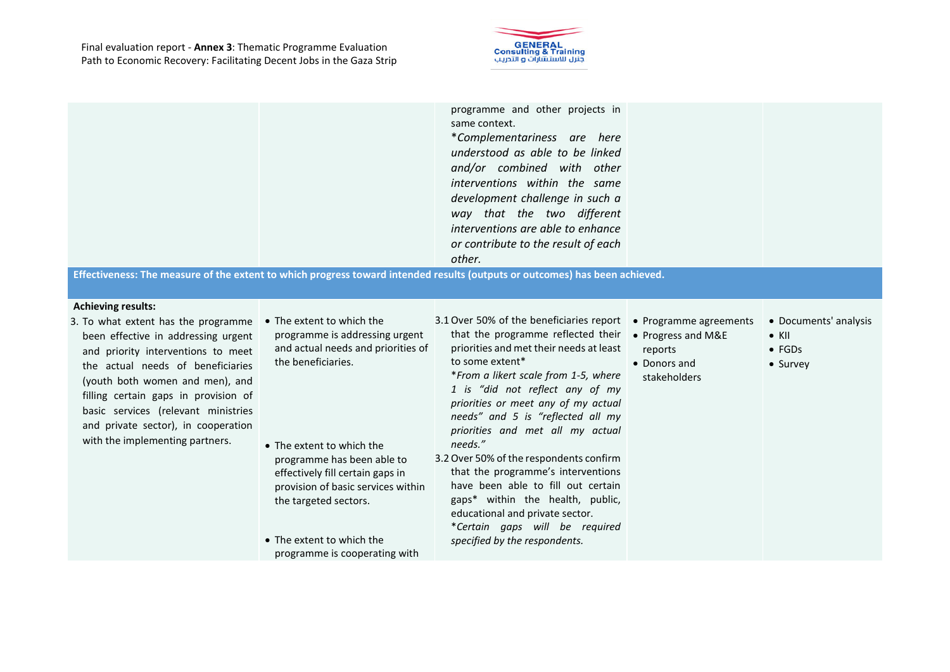

programme and other projects in same context. \**Complementariness are here understood as able to be linked and/or combined with other interventions within the same development challenge in such a way that the two different interventions are able to enhance or contribute to the result of each other.*  **Effectiveness: The measure of the extent to which progress toward intended results (outputs or outcomes) has been achieved. Achieving results:** 3. To what extent has the programme been effective in addressing urgent and priority interventions to meet the actual needs of beneficiaries (youth both women and men), and filling certain gaps in provision of basic services (relevant ministries and private sector), in cooperation with the implementing partners. • The extent to which the programme is addressing urgent and actual needs and priorities of the beneficiaries. • The extent to which the programme has been able to effectively fill certain gaps in provision of basic services within the targeted sectors. 3.1 Over 50% of the beneficiaries report • Programme agreements that the programme reflected their priorities and met their needs at least to some extent\* \**From a likert scale from 1-5, where 1 is "did not reflect any of my priorities or meet any of my actual needs" and 5 is "reflected all my priorities and met all my actual needs."* 3.2 Over 50% of the respondents confirm that the programme's interventions have been able to fill out certain gaps\* within the health, public, educational and private sector. • Progress and M&E reports • Donors and stakeholders • Documents' analysis • KII • FGDs • Survey

\**Certain gaps will be required* 

*specified by the respondents.* 

• The extent to which the programme is cooperating with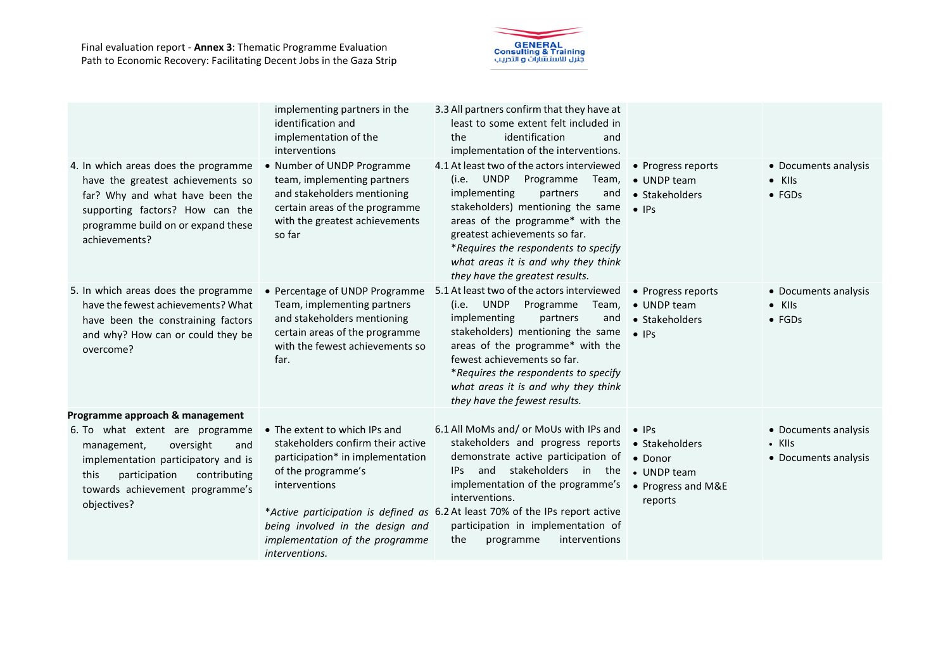

|                                                                                                                                                                                                                                         | implementing partners in the<br>identification and<br>implementation of the<br>interventions                                                                                                                                           | 3.3 All partners confirm that they have at<br>least to some extent felt included in<br>identification<br>the<br>and<br>implementation of the interventions.                                                                                                                                                                                                                            |                                                                                            |                                                                |
|-----------------------------------------------------------------------------------------------------------------------------------------------------------------------------------------------------------------------------------------|----------------------------------------------------------------------------------------------------------------------------------------------------------------------------------------------------------------------------------------|----------------------------------------------------------------------------------------------------------------------------------------------------------------------------------------------------------------------------------------------------------------------------------------------------------------------------------------------------------------------------------------|--------------------------------------------------------------------------------------------|----------------------------------------------------------------|
| 4. In which areas does the programme<br>have the greatest achievements so<br>far? Why and what have been the<br>supporting factors? How can the<br>programme build on or expand these<br>achievements?                                  | • Number of UNDP Programme<br>team, implementing partners<br>and stakeholders mentioning<br>certain areas of the programme<br>with the greatest achievements<br>so far                                                                 | 4.1 At least two of the actors interviewed<br><b>UNDP</b><br>Programme<br>Team,<br>(i.e.<br>implementing<br>partners<br>and<br>stakeholders) mentioning the same<br>areas of the programme* with the<br>greatest achievements so far.<br>*Requires the respondents to specify<br>what areas it is and why they think<br>they have the greatest results.                                | • Progress reports<br>• UNDP team<br>• Stakeholders<br>$\bullet$ IPs                       | • Documents analysis<br>$\bullet$ KIIs<br>$\bullet$ FGDs       |
| 5. In which areas does the programme<br>have the fewest achievements? What<br>have been the constraining factors<br>and why? How can or could they be<br>overcome?                                                                      | • Percentage of UNDP Programme<br>Team, implementing partners<br>and stakeholders mentioning<br>certain areas of the programme<br>with the fewest achievements so<br>far.                                                              | 5.1 At least two of the actors interviewed<br>(i.e. UNDP<br>Programme<br>Team,<br>implementing<br>partners<br>and<br>stakeholders) mentioning the same<br>areas of the programme* with the<br>fewest achievements so far.<br>*Requires the respondents to specify<br>what areas it is and why they think<br>they have the fewest results.                                              | • Progress reports<br>• UNDP team<br>• Stakeholders<br>$\bullet$ IPs                       | • Documents analysis<br>$\bullet$ KIIs<br>$\bullet$ FGDs       |
| Programme approach & management<br>6. To what extent are programme<br>oversight<br>and<br>management,<br>implementation participatory and is<br>contributing<br>participation<br>this<br>towards achievement programme's<br>objectives? | • The extent to which IPs and<br>stakeholders confirm their active<br>participation* in implementation<br>of the programme's<br>interventions<br>being involved in the design and<br>implementation of the programme<br>interventions. | 6.1 All MoMs and/ or MoUs with IPs and<br>stakeholders and progress reports<br>demonstrate active participation of<br>and<br>stakeholders in the<br>IP <sub>S</sub><br>implementation of the programme's<br>interventions.<br>*Active participation is defined as 6.2 At least 70% of the IPs report active<br>participation in implementation of<br>the<br>programme<br>interventions | $\bullet$ IPs<br>• Stakeholders<br>• Donor<br>• UNDP team<br>• Progress and M&E<br>reports | • Documents analysis<br>$\bullet$ KIIs<br>• Documents analysis |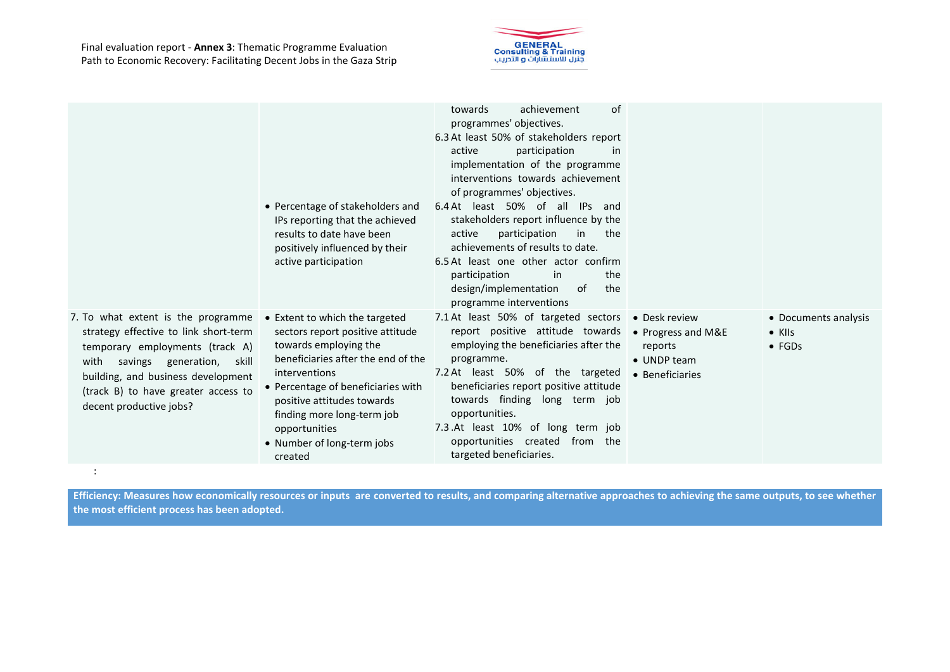:



|                                                                                                                                                                                                                                                                | • Percentage of stakeholders and<br>IPs reporting that the achieved<br>results to date have been<br>positively influenced by their<br>active participation                                                                                                                                                     | of<br>achievement<br>towards<br>programmes' objectives.<br>6.3 At least 50% of stakeholders report<br>active<br>participation<br>in.<br>implementation of the programme<br>interventions towards achievement<br>of programmes' objectives.<br>6.4 At least 50% of all IPs and<br>stakeholders report influence by the<br>participation<br>active<br>in<br>the<br>achievements of results to date.<br>6.5 At least one other actor confirm<br>participation<br>the<br>in<br>the<br>design/implementation<br>of<br>programme interventions |                                                                                  |                                                          |
|----------------------------------------------------------------------------------------------------------------------------------------------------------------------------------------------------------------------------------------------------------------|----------------------------------------------------------------------------------------------------------------------------------------------------------------------------------------------------------------------------------------------------------------------------------------------------------------|------------------------------------------------------------------------------------------------------------------------------------------------------------------------------------------------------------------------------------------------------------------------------------------------------------------------------------------------------------------------------------------------------------------------------------------------------------------------------------------------------------------------------------------|----------------------------------------------------------------------------------|----------------------------------------------------------|
| 7. To what extent is the programme<br>strategy effective to link short-term<br>temporary employments (track A)<br>savings generation,<br>with<br>skill<br>building, and business development<br>(track B) to have greater access to<br>decent productive jobs? | • Extent to which the targeted<br>sectors report positive attitude<br>towards employing the<br>beneficiaries after the end of the<br>interventions<br>• Percentage of beneficiaries with<br>positive attitudes towards<br>finding more long-term job<br>opportunities<br>• Number of long-term jobs<br>created | 7.1 At least 50% of targeted sectors<br>report positive attitude towards<br>employing the beneficiaries after the<br>programme.<br>7.2 At least 50% of the targeted<br>beneficiaries report positive attitude<br>towards finding long term job<br>opportunities.<br>7.3.At least 10% of long term job<br>opportunities created from the<br>targeted beneficiaries.                                                                                                                                                                       | • Desk review<br>• Progress and M&E<br>reports<br>• UNDP team<br>• Beneficiaries | • Documents analysis<br>$\bullet$ KIIs<br>$\bullet$ FGDs |

**Efficiency: Measures how economically resources or inputs are converted to results, and comparing alternative approaches to achieving the same outputs, to see whether the most efficient process has been adopted.**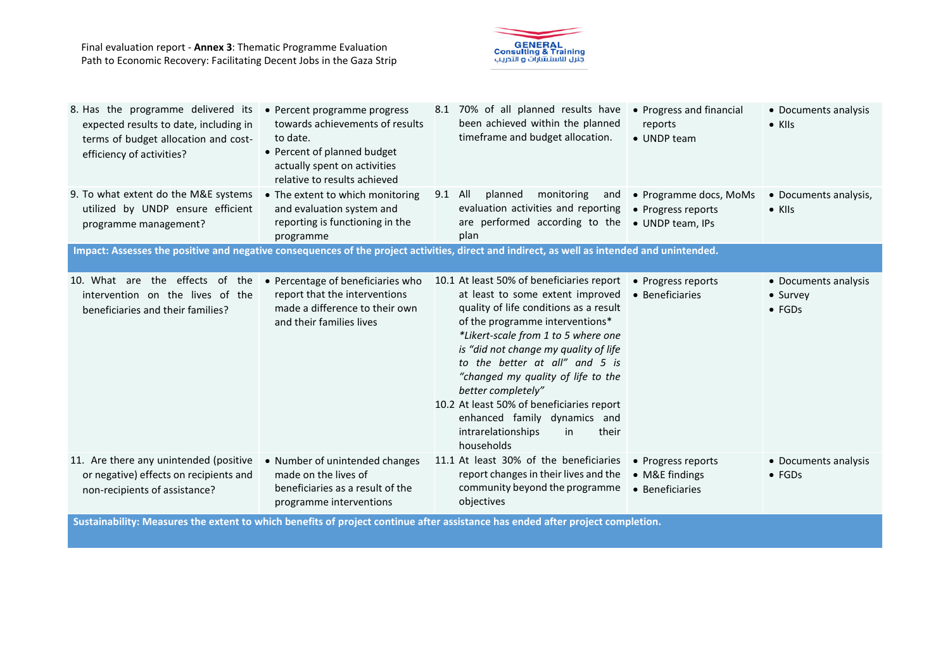

| 8. Has the programme delivered its<br>expected results to date, including in<br>terms of budget allocation and cost-<br>efficiency of activities? | • Percent programme progress<br>towards achievements of results<br>to date.<br>• Percent of planned budget<br>actually spent on activities<br>relative to results achieved | 8.1 | 70% of all planned results have<br>been achieved within the planned<br>timeframe and budget allocation.                                                                                                                                                                                                                                                                                                                                                                  | • Progress and financial<br>reports<br>• UNDP team               | • Documents analysis<br>$\bullet$ KIIs             |
|---------------------------------------------------------------------------------------------------------------------------------------------------|----------------------------------------------------------------------------------------------------------------------------------------------------------------------------|-----|--------------------------------------------------------------------------------------------------------------------------------------------------------------------------------------------------------------------------------------------------------------------------------------------------------------------------------------------------------------------------------------------------------------------------------------------------------------------------|------------------------------------------------------------------|----------------------------------------------------|
| 9. To what extent do the M&E systems<br>utilized by UNDP ensure efficient<br>programme management?                                                | • The extent to which monitoring<br>and evaluation system and<br>reporting is functioning in the<br>programme                                                              | 9.1 | monitoring<br>All<br>planned<br>and<br>evaluation activities and reporting<br>are performed according to the<br>plan                                                                                                                                                                                                                                                                                                                                                     | • Programme docs, MoMs<br>• Progress reports<br>• UNDP team, IPs | • Documents analysis,<br>$\bullet$ KIIs            |
| Impact: Assesses the positive and negative consequences of the project activities, direct and indirect, as well as intended and unintended.       |                                                                                                                                                                            |     |                                                                                                                                                                                                                                                                                                                                                                                                                                                                          |                                                                  |                                                    |
| 10. What are the effects of the<br>intervention on the lives of the<br>beneficiaries and their families?                                          | • Percentage of beneficiaries who<br>report that the interventions<br>made a difference to their own<br>and their families lives                                           |     | 10.1 At least 50% of beneficiaries report<br>at least to some extent improved<br>quality of life conditions as a result<br>of the programme interventions*<br>*Likert-scale from 1 to 5 where one<br>is "did not change my quality of life<br>to the better at all" and 5 is<br>"changed my quality of life to the<br>better completely"<br>10.2 At least 50% of beneficiaries report<br>enhanced family dynamics and<br>intrarelationships<br>their<br>in<br>households | • Progress reports<br>• Beneficiaries                            | • Documents analysis<br>• Survey<br>$\bullet$ FGDs |
| 11. Are there any unintended (positive<br>or negative) effects on recipients and<br>non-recipients of assistance?                                 | • Number of unintended changes<br>made on the lives of<br>beneficiaries as a result of the<br>programme interventions                                                      |     | 11.1 At least 30% of the beneficiaries<br>report changes in their lives and the<br>community beyond the programme<br>objectives                                                                                                                                                                                                                                                                                                                                          | • Progress reports<br>• M&E findings<br>• Beneficiaries          | • Documents analysis<br>$\bullet$ FGDs             |
| Sustainability: Measures the extent to which benefits of project continue after assistance has ended after project completion.                    |                                                                                                                                                                            |     |                                                                                                                                                                                                                                                                                                                                                                                                                                                                          |                                                                  |                                                    |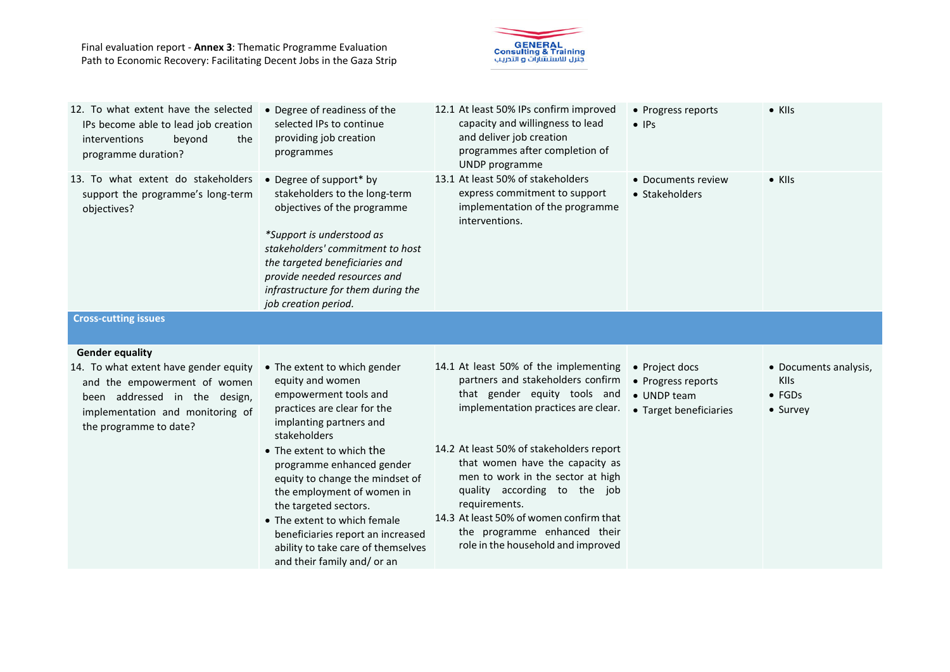

| 12. To what extent have the selected<br>IPs become able to lead job creation<br>interventions<br>beyond<br>the<br>programme duration?                                                          | • Degree of readiness of the<br>selected IPs to continue<br>providing job creation<br>programmes                                                                                                                                                                                                                                                                                                                   | 12.1 At least 50% IPs confirm improved<br>capacity and willingness to lead<br>and deliver job creation<br>programmes after completion of<br>UNDP programme                                                                                                                                                                                                                                                                              | • Progress reports<br>$\bullet$ IPs                                                   | $\bullet$ KIIs                                                     |
|------------------------------------------------------------------------------------------------------------------------------------------------------------------------------------------------|--------------------------------------------------------------------------------------------------------------------------------------------------------------------------------------------------------------------------------------------------------------------------------------------------------------------------------------------------------------------------------------------------------------------|-----------------------------------------------------------------------------------------------------------------------------------------------------------------------------------------------------------------------------------------------------------------------------------------------------------------------------------------------------------------------------------------------------------------------------------------|---------------------------------------------------------------------------------------|--------------------------------------------------------------------|
| 13. To what extent do stakeholders<br>support the programme's long-term<br>objectives?                                                                                                         | • Degree of support* by<br>stakeholders to the long-term<br>objectives of the programme<br>*Support is understood as<br>stakeholders' commitment to host<br>the targeted beneficiaries and<br>provide needed resources and<br>infrastructure for them during the<br>job creation period.                                                                                                                           | 13.1 At least 50% of stakeholders<br>express commitment to support<br>implementation of the programme<br>interventions.                                                                                                                                                                                                                                                                                                                 | • Documents review<br>• Stakeholders                                                  | $\bullet$ KIIs                                                     |
| <b>Cross-cutting issues</b>                                                                                                                                                                    |                                                                                                                                                                                                                                                                                                                                                                                                                    |                                                                                                                                                                                                                                                                                                                                                                                                                                         |                                                                                       |                                                                    |
| <b>Gender equality</b><br>14. To what extent have gender equity<br>and the empowerment of women<br>been addressed in the design,<br>implementation and monitoring of<br>the programme to date? | • The extent to which gender<br>equity and women<br>empowerment tools and<br>practices are clear for the<br>implanting partners and<br>stakeholders<br>• The extent to which the<br>programme enhanced gender<br>equity to change the mindset of<br>the employment of women in<br>the targeted sectors.<br>• The extent to which female<br>beneficiaries report an increased<br>ability to take care of themselves | 14.1 At least 50% of the implementing<br>partners and stakeholders confirm<br>that gender equity tools and<br>implementation practices are clear.<br>14.2 At least 50% of stakeholders report<br>that women have the capacity as<br>men to work in the sector at high<br>quality according to the job<br>requirements.<br>14.3 At least 50% of women confirm that<br>the programme enhanced their<br>role in the household and improved | • Project docs<br>• Progress reports<br>$\bullet$ UNDP team<br>• Target beneficiaries | • Documents analysis,<br><b>KIIs</b><br>$\bullet$ FGDs<br>• Survey |